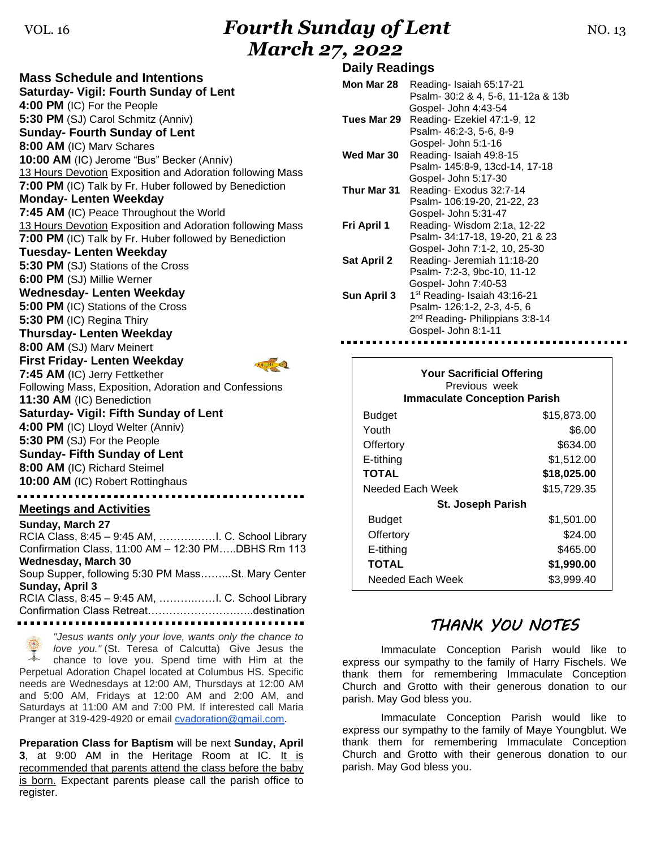# VOL. 16*Fourth Sunday of Lent* **NO. 13** *March 27, 2022*

**Mass Schedule and Intentions Saturday- Vigil: Fourth Sunday of Lent 4:00 PM** (IC) For the People **5:30 PM** (SJ) Carol Schmitz (Anniv) **Sunday- Fourth Sunday of Lent 8:00 AM** (IC) Marv Schares **10:00 AM** (IC) Jerome "Bus" Becker (Anniv) 13 Hours Devotion Exposition and Adoration following Mass **7:00 PM** (IC) Talk by Fr. Huber followed by Benediction **Monday- Lenten Weekday 7:45 AM** (IC) Peace Throughout the World 13 Hours Devotion Exposition and Adoration following Mass **7:00 PM** (IC) Talk by Fr. Huber followed by Benediction **Tuesday- Lenten Weekday 5:30 PM** (SJ) Stations of the Cross **6:00 PM** (SJ) Millie Werner **Wednesday- Lenten Weekday 5:00 PM** (IC) Stations of the Cross **5:30 PM** (IC) Regina Thiry **Thursday- Lenten Weekday 8:00 AM** (SJ) Marv Meinert **First Friday- Lenten Weekday 7:45 AM** (IC) Jerry Fettkether Following Mass, Exposition, Adoration and Confessions **11:30 AM** (IC) Benediction **Saturday- Vigil: Fifth Sunday of Lent 4:00 PM** (IC) Lloyd Welter (Anniv) **5:30 PM** (SJ) For the People **Sunday- Fifth Sunday of Lent 8:00 AM** (IC) Richard Steimel **10:00 AM** (IC) Robert Rottinghaus **Meetings and Activities Sunday, March 27**

RCIA Class, 8:45 – 9:45 AM, ……….……I. C. School Library Confirmation Class, 11:00 AM – 12:30 PM…..DBHS Rm 113 **Wednesday, March 30** Soup Supper, following 5:30 PM Mass……...St. Mary Center **Sunday, April 3** RCIA Class, 8:45 – 9:45 AM, ……….……I. C. School Library Confirmation Class Retreat…………………….…..destination 

*"Jesus wants only your love, wants only the chance to love you."* (St. Teresa of Calcutta) Give Jesus the  $\rightarrow$ chance to love you. Spend time with Him at the Perpetual Adoration Chapel located at Columbus HS. Specific needs are Wednesdays at 12:00 AM, Thursdays at 12:00 AM and 5:00 AM, Fridays at 12:00 AM and 2:00 AM, and Saturdays at 11:00 AM and 7:00 PM. If interested call Maria Pranger at 319-429-4920 or email [cvadoration@gmail.com.](mailto:cvadoration@gmail.com)

**Preparation Class for Baptism** will be next **Sunday, April 3**, at 9:00 AM in the Heritage Room at IC. It is recommended that parents attend the class before the baby is born. Expectant parents please call the parish office to register.

#### **Daily Readings**

| Mon Mar 28         | Reading- Isaiah 65:17-21                    |
|--------------------|---------------------------------------------|
|                    | Psalm- 30:2 & 4, 5-6, 11-12a & 13b          |
|                    | Gospel- John 4:43-54                        |
| Tues Mar 29        | Reading-Ezekiel 47:1-9, 12                  |
|                    | Psalm- 46:2-3, 5-6, 8-9                     |
|                    | Gospel- John 5:1-16                         |
| Wed Mar 30         | Reading-Isaiah 49:8-15                      |
|                    | Psalm- 145:8-9, 13cd-14, 17-18              |
|                    | Gospel- John 5:17-30                        |
| Thur Mar 31        | Reading-Exodus 32:7-14                      |
|                    | Psalm- 106:19-20, 21-22, 23                 |
|                    | Gospel- John 5:31-47                        |
| Fri April 1        | Reading-Wisdom 2:1a, 12-22                  |
|                    | Psalm- 34:17-18, 19-20, 21 & 23             |
|                    | Gospel- John 7:1-2, 10, 25-30               |
| <b>Sat April 2</b> | Reading- Jeremiah 11:18-20                  |
|                    | Psalm- 7:2-3, 9bc-10, 11-12                 |
|                    | Gospel- John 7:40-53                        |
| Sun April 3        | 1 <sup>st</sup> Reading- Isaiah 43:16-21    |
|                    | Psalm- 126:1-2, 2-3, 4-5, 6                 |
|                    | 2 <sup>nd</sup> Reading- Philippians 3:8-14 |
|                    | Gospel- John 8:1-11                         |
|                    |                                             |

| <b>Your Sacrificial Offering</b><br>Previous week<br><b>Immaculate Conception Parish</b> |             |  |
|------------------------------------------------------------------------------------------|-------------|--|
| Budget                                                                                   | \$15,873.00 |  |
| Youth                                                                                    | \$6.00      |  |
| Offertory                                                                                | \$634.00    |  |
| E-tithing                                                                                | \$1,512.00  |  |
| <b>TOTAL</b>                                                                             | \$18,025.00 |  |
| Needed Each Week                                                                         | \$15,729.35 |  |
| <b>St. Joseph Parish</b>                                                                 |             |  |
| <b>Budget</b>                                                                            | \$1,501.00  |  |
| Offertory                                                                                | \$24.00     |  |
| E-tithing                                                                                | \$465.00    |  |
| TOTAL                                                                                    | \$1,990.00  |  |
| Needed Each Week                                                                         | \$3,999.40  |  |

### *THANK YOU NOTES*

Immaculate Conception Parish would like to express our sympathy to the family of Harry Fischels. We thank them for remembering Immaculate Conception Church and Grotto with their generous donation to our parish. May God bless you.

Immaculate Conception Parish would like to express our sympathy to the family of Maye Youngblut. We thank them for remembering Immaculate Conception Church and Grotto with their generous donation to our parish. May God bless you.